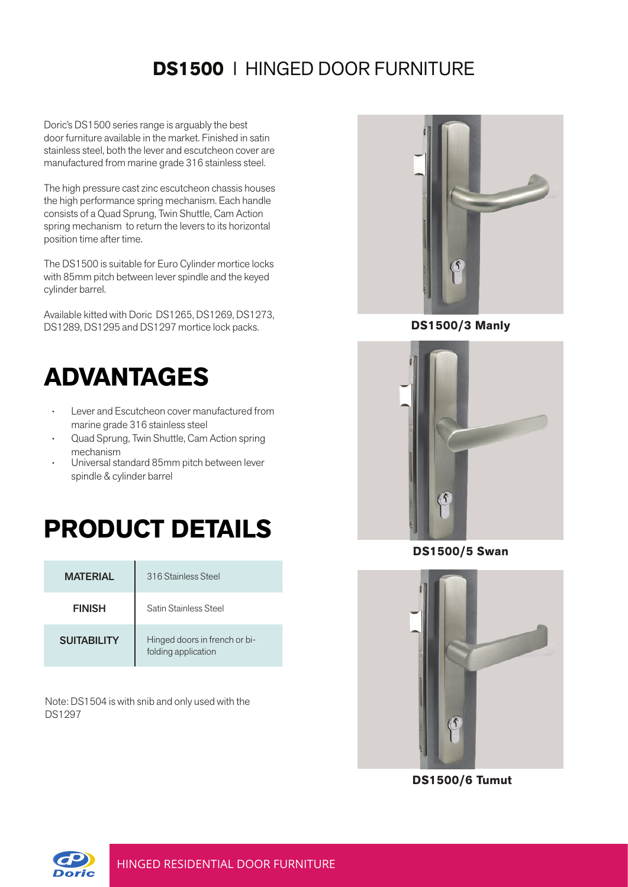## **DS1500** l HINGED DOOR FURNITURE

Doric's DS1500 series range is arguably the best door furniture available in the market. Finished in satin stainless steel, both the lever and escutcheon cover are manufactured from marine grade 316 stainless steel.

The high pressure cast zinc escutcheon chassis houses the high performance spring mechanism. Each handle consists of a Quad Sprung, Twin Shuttle, Cam Action spring mechanism to return the levers to its horizontal position time after time.

The DS1500 is suitable for Euro Cylinder mortice locks with 85mm pitch between lever spindle and the keyed cylinder barrel.

Available kitted with Doric DS1265, DS1269, DS1273, DS1289, DS1295 and DS1297 mortice lock packs. **DS1500/3 Manly**

## **ADVANTAGES**

- Lever and Escutcheon cover manufactured from marine grade 316 stainless steel
- Quad Sprung, Twin Shuttle, Cam Action spring mechanism
- Universal standard 85mm pitch between lever spindle & cylinder barrel

## **PRODUCT DETAILS**

| <b>MATFRIAL</b>    | 316 Stainless Steel                                  |
|--------------------|------------------------------------------------------|
| <b>FINISH</b>      | Satin Stainless Steel                                |
| <b>SUITABILITY</b> | Hinged doors in french or bi-<br>folding application |

Note: DS1504 is with snib and only used with the DS1297





**DS1500/5 Swan**



**DS1500/6 Tumut**